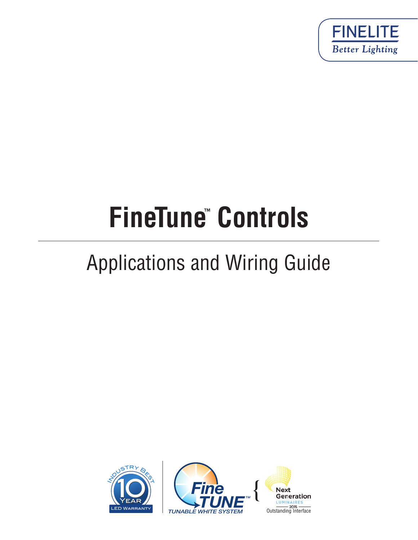

# **FineTune™ Controls**

# Applications and Wiring Guide



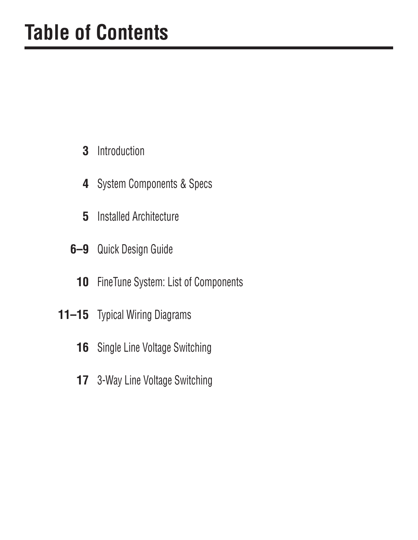- Introduction **3**
- **4** System Components & Specs
- Installed Architecture **5**
- Quick Design Guide **6–9**
	- FineTune System: List of Components **10**
- Typical Wiring Diagrams **11–15**
	- **16** Single Line Voltage Switching
	- 3-Way Line Voltage Switching **17**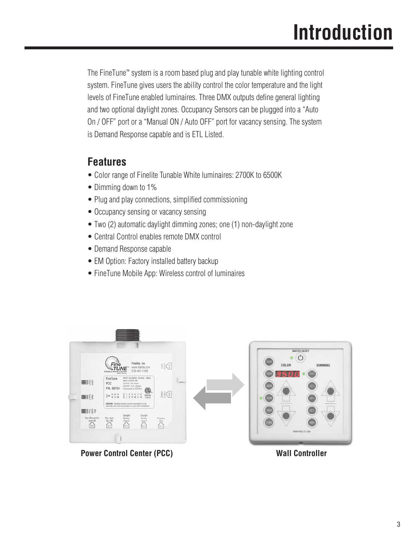The FineTune™ system is a room based plug and play tunable white lighting control system. FineTune gives users the ability control the color temperature and the light levels of FineTune enabled luminaires. Three DMX outputs define general lighting and two optional daylight zones. Occupancy Sensors can be plugged into a "Auto On / OFF" port or a "Manual ON / Auto OFF" port for vacancy sensing. The system is Demand Response capable and is ETL Listed.

#### **Features**

- Color range of Finelite Tunable White luminaires: 2700K to 6500K
- Dimming down to 1%
- Plug and play connections, simplified commissioning
- Occupancy sensing or vacancy sensing
- Two (2) automatic daylight dimming zones; one (1) non-daylight zone
- Central Control enables remote DMX control
- Demand Response capable
- EM Option: Factory installed battery backup
- FineTune Mobile App: Wireless control of luminaires



**Power Control Center (PCC)** Wall Controller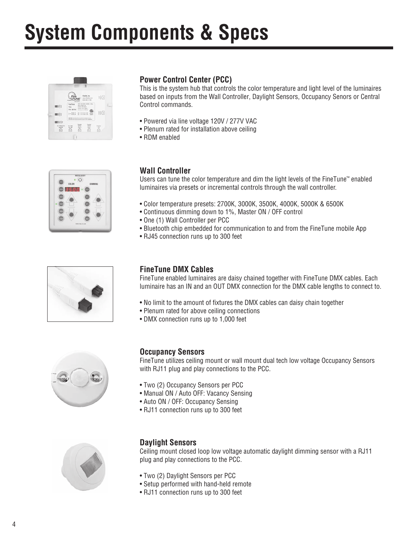# **System Components & Specs**







#### **Power Control Center (PCC)**

This is the system hub that controls the color temperature and light level of the luminaires based on inputs from the Wall Controller, Daylight Sensors, Occupancy Senors or Central Control commands.

- Powered via line voltage 120V / 277V VAC
- Plenum rated for installation above ceiling
- RDM enabled

#### **Wall Controller**

Users can tune the color temperature and dim the light levels of the FineTune™ enabled luminaires via presets or incremental controls through the wall controller.

- Color temperature presets: 2700K, 3000K, 3500K, 4000K, 5000K & 6500K
- Continuous dimming down to 1%, Master ON / OFF control
- One (1) Wall Controller per PCC
- Bluetooth chip embedded for communication to and from the FineTune mobile App
- RJ45 connection runs up to 300 feet

#### **FineTune DMX Cables**

FineTune enabled luminaires are daisy chained together with FineTune DMX cables. Each luminaire has an IN and an OUT DMX connection for the DMX cable lengths to connect to.

- No limit to the amount of fixtures the DMX cables can daisy chain together
- Plenum rated for above ceiling connections
- DMX connection runs up to 1,000 feet



#### **Occupancy Sensors**

FineTune utilizes ceiling mount or wall mount dual tech low voltage Occupancy Sensors with RJ11 plug and play connections to the PCC.

- Two (2) Occupancy Sensors per PCC
- Manual ON / Auto OFF: Vacancy Sensing
- Auto ON / OFF: Occupancy Sensing
- RJ11 connection runs up to 300 feet



#### **Daylight Sensors**

Ceiling mount closed loop low voltage automatic daylight dimming sensor with a RJ11 plug and play connections to the PCC.

- Two (2) Daylight Sensors per PCC
- Setup performed with hand-held remote
- RJ11 connection runs up to 300 feet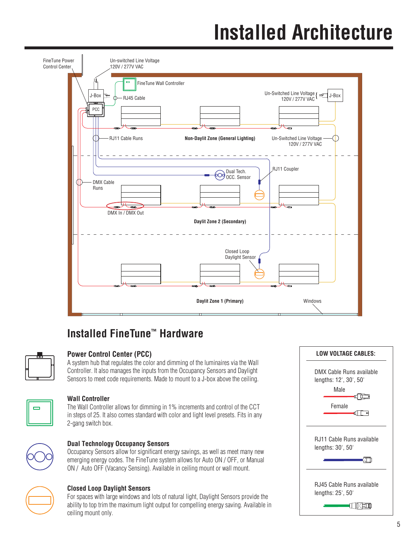# **Installed Architecture**



#### **Installed FineTune™ Hardware**



#### **Power Control Center (PCC)**

A system hub that regulates the color and dimming of the luminaires via the Wall Controller. It also manages the inputs from the Occupancy Sensors and Daylight Sensors to meet code requirements. Made to mount to a J-box above the ceiling.



#### **Wall Controller**

The Wall Controller allows for dimming in 1% increments and control of the CCT in steps of 25. It also comes standard with color and light level presets. Fits in any 2-gang switch box.



#### **Dual Technology Occupancy Sensors**

Occupancy Sensors allow for significant energy savings, as well as meet many new emerging energy codes. The FineTune system allows for Auto ON / OFF, or Manual ON / Auto OFF (Vacancy Sensing). Available in ceiling mount or wall mount.



#### **Closed Loop Daylight Sensors**

For spaces with large windows and lots of natural light, Daylight Sensors provide the ability to top trim the maximum light output for compelling energy saving. Available in ceiling mount only.

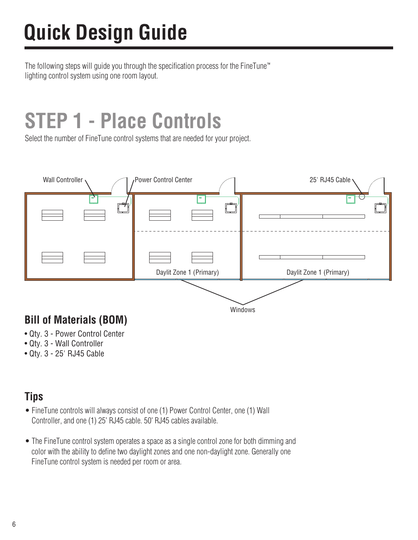# **Quick Design Guide**

The following steps will guide you through the specification process for the FineTune™ lighting control system using one room layout.

# **STEP 1 - Place Controls**

Select the number of FineTune control systems that are needed for your project.



- Qty. 3 Power Control Center
- Qty. 3 Wall Controller
- Qty. 3 25' RJ45 Cable

### **Tips**

- FineTune controls will always consist of one (1) Power Control Center, one (1) Wall Controller, and one (1) 25' RJ45 cable. 50' RJ45 cables available.
- The FineTune control system operates a space as a single control zone for both dimming and color with the ability to define two daylight zones and one non-daylight zone. Generally one FineTune control system is needed per room or area.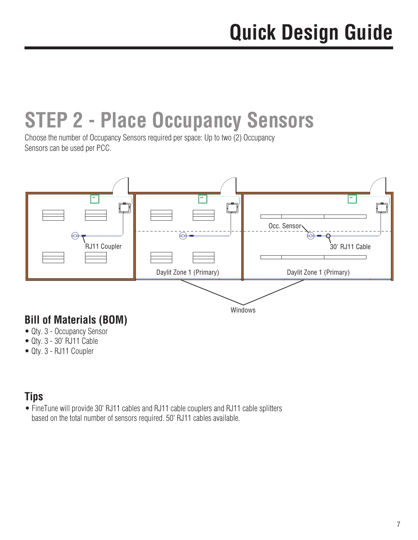# **STEP 2 - Place Occupancy Sensors**

Choose the number of Occupancy Sensors required per space: Up to two (2) Occupancy Sensors can be used per PCC.



## **Bill of Materials (BOM)**

- Qty. 3 Occupancy Sensor
- Qty. 3 30' RJ11 Cable
- Qty. 3 RJ11 Coupler

#### **Tips**

• FineTune will provide 30' RJ11 cables and RJ11 cable couplers and RJ11 cable splitters based on the total number of sensors required. 50' RJ11 cables available.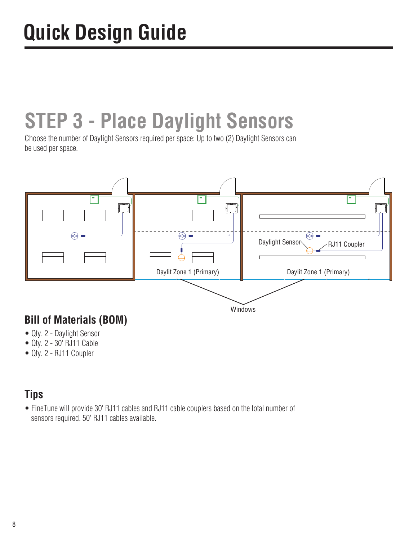# **STEP 3 - Place Daylight Sensors**

Choose the number of Daylight Sensors required per space: Up to two (2) Daylight Sensors can be used per space.



## **Bill of Materials (BOM)**

- Qty. 2 Daylight Sensor
- Qty. 2 30' RJ11 Cable
- Qty. 2 RJ11 Coupler

#### **Tips**

• FineTune will provide 30' RJ11 cables and RJ11 cable couplers based on the total number of sensors required. 50' RJ11 cables available.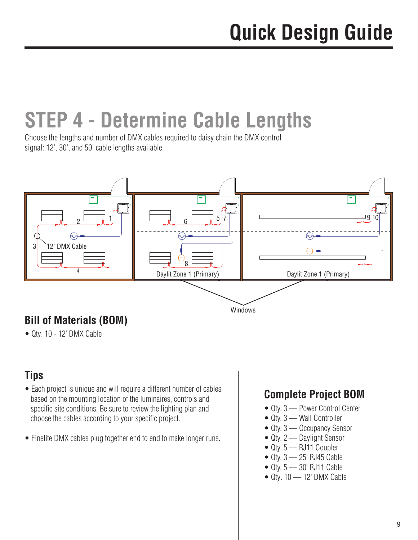# **STEP 4 - Determine Cable Lengths**

Choose the lengths and number of DMX cables required to daisy chain the DMX control signal: 12', 30', and 50' cable lengths available.



## **Bill of Materials (BOM)**

• Qty. 10 - 12' DMX Cable

### **Tips**

- Each project is unique and will require a different number of cables based on the mounting location of the luminaires, controls and specific site conditions. Be sure to review the lighting plan and choose the cables according to your specific project.
- Finelite DMX cables plug together end to end to make longer runs.

#### **Complete Project BOM**

- Qty. 3 Power Control Center
- Qty. 3 Wall Controller
- Qty. 3 Occupancy Sensor
- Qty. 2 Daylight Sensor
- Qty. 5 RJ11 Coupler
- Qty. 3 25' RJ45 Cable
- $\bullet$  Qty.  $5 30'$  RJ11 Cable
- $\bullet$  Qty. 10  $-$  12' DMX Cable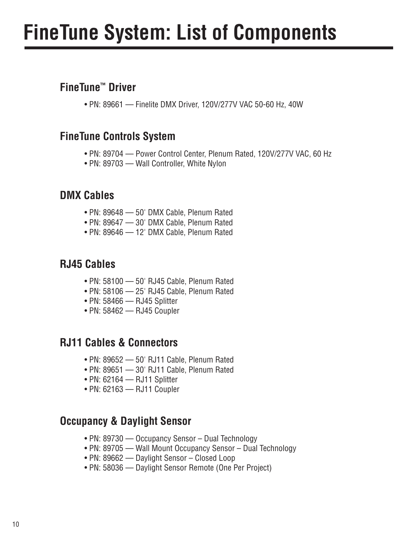# **FineTune System: List of Components**

#### **FineTune™ Driver**

• PN: 89661 — Finelite DMX Driver, 120V/277V VAC 50-60 Hz, 40W

#### **FineTune Controls System**

- PN: 89704 Power Control Center, Plenum Rated, 120V/277V VAC, 60 Hz
- PN: 89703 Wall Controller, White Nylon

#### **DMX Cables**

- PN: 89648 50' DMX Cable, Plenum Rated
- PN: 89647 30' DMX Cable, Plenum Rated
- PN: 89646 12' DMX Cable, Plenum Rated

#### **RJ45 Cables**

- PN: 58100 50' RJ45 Cable, Plenum Rated
- PN: 58106 25' RJ45 Cable, Plenum Rated
- PN: 58466 RJ45 Splitter
- PN: 58462 RJ45 Coupler

#### **RJ11 Cables & Connectors**

- PN: 89652 50' RJ11 Cable, Plenum Rated
- PN: 89651 30' RJ11 Cable, Plenum Rated
- PN: 62164 RJ11 Splitter
- PN: 62163 RJ11 Coupler

#### **Occupancy & Daylight Sensor**

- PN: 89730 Occupancy Sensor Dual Technology
- PN: 89705 Wall Mount Occupancy Sensor Dual Technology
- PN: 89662 Daylight Sensor Closed Loop
- PN: 58036 Daylight Sensor Remote (One Per Project)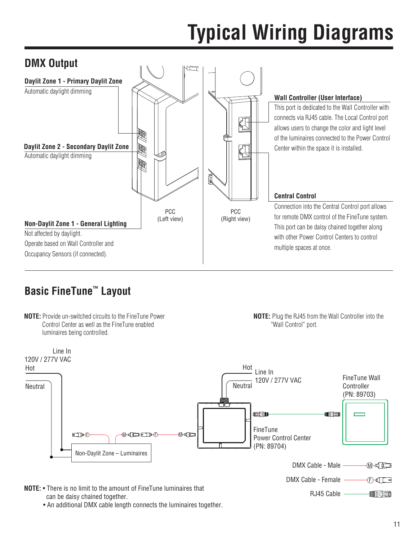

### **Basic FineTune™ Layout**



**NOTE:** Plug the RJ45 from the Wall Controller into the "Wall Control" port.



• An additional DMX cable length connects the luminaires together.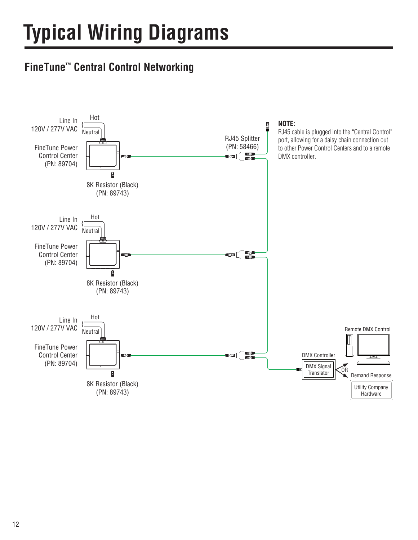## **FineTune™ Central Control Networking**

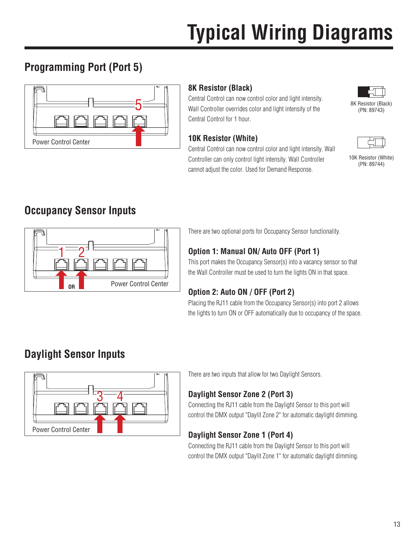## **Programming Port (Port 5)**



#### **8K Resistor (Black)**

Central Control can now control color and light intensity.  $5 \longrightarrow$  Wall Controller overrides color and light intensity of the  $\sim$  8K Resistor (Black) Central Control for 1 hour.

#### **10K Resistor (White)**

Central Control can now control color and light intensity. Wall Controller can only control light intensity. Wall Controller cannot adjust the color. Used for Demand Response.



(PN: 89743)



10K Resistor (White) (PN: 89744)

### **Occupancy Sensor Inputs**



There are two optional ports for Occupancy Sensor functionality.

#### **Option 1: Manual ON/ Auto OFF (Port 1)**

This port makes the Occupancy Sensor(s) into a vacancy sensor so that the Wall Controller must be used to turn the lights ON in that space.

#### **Option 2: Auto ON / OFF (Port 2)**

Placing the RJ11 cable from the Occupancy Sensor(s) into port 2 allows the lights to turn ON or OFF automatically due to occupancy of the space.

### **Daylight Sensor Inputs**



There are two inputs that allow for two Daylight Sensors.

#### **Daylight Sensor Zone 2 (Port 3)**

Connecting the RJ11 cable from the Daylight Sensor to this port will control the DMX output "Daylit Zone 2" for automatic daylight dimming.

#### **Daylight Sensor Zone 1 (Port 4)**

Connecting the RJ11 cable from the Daylight Sensor to this port will control the DMX output "Daylit Zone 1" for automatic daylight dimming.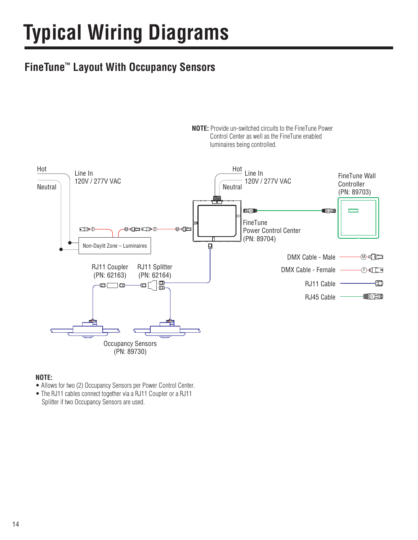### **FineTune™ Layout With Occupancy Sensors**



**NOTE:** Provide un-switched circuits to the FineTune Power Control Center as well as the FineTune enabled

#### **NOTE:**

- Allows for two (2) Occupancy Sensors per Power Control Center.
- The RJ11 cables connect together via a RJ11 Coupler or a RJ11 Splitter if two Occupancy Sensors are used.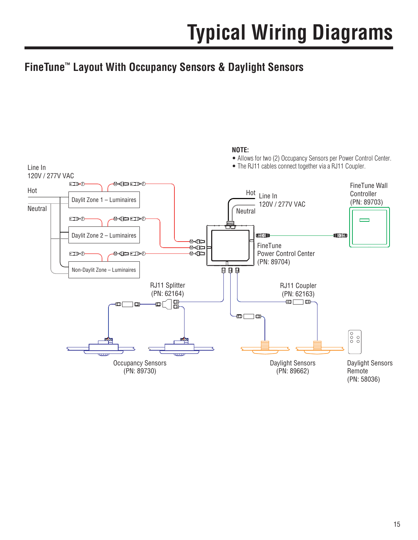### **FineTune™ Layout With Occupancy Sensors & Daylight Sensors**

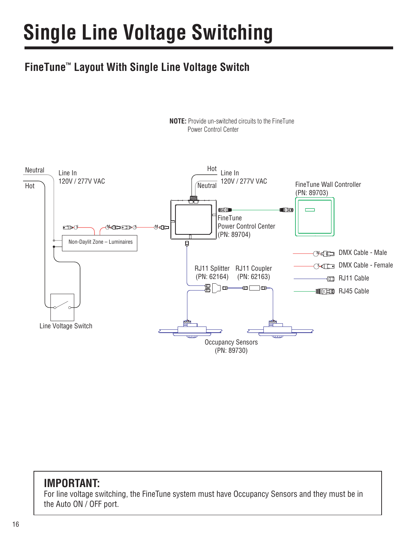# **Single Line Voltage Switching**

## **FineTune™ Layout With Single Line Voltage Switch**



**NOTE:** Provide un-switched circuits to the FineTune Power Control Center

#### **IMPORTANT:**

For line voltage switching, the FineTune system must have Occupancy Sensors and they must be in the Auto ON / OFF port.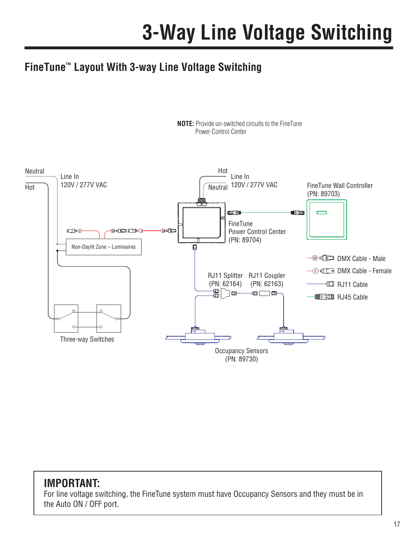### **FineTune™ Layout With 3-way Line Voltage Switching**



#### **NOTE:** Provide un-switched circuits to the FineTune Power Control Center

#### **IMPORTANT:**

For line voltage switching, the FineTune system must have Occupancy Sensors and they must be in the Auto ON / OFF port.